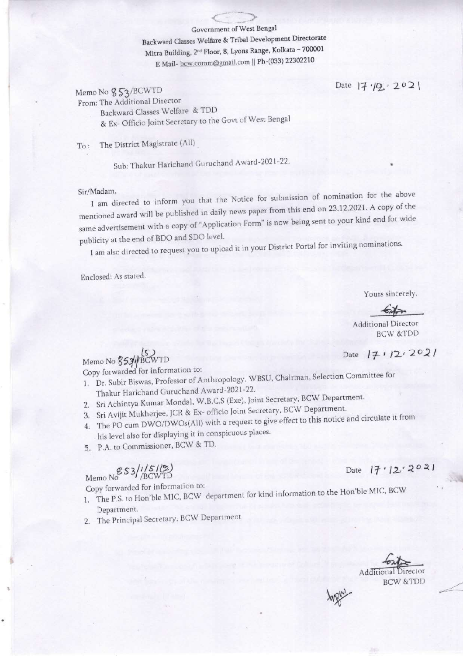Government of West Bengal

Backward Classes Welfare & Tribal Development Directorate Mitra Building, 2<sup>nd</sup> Floor, 8, Lyons Range, Kolkata - 700001 E Mail-bcw.comm@gmail.com || Ph-(033) 22302210

Memo No 853/BCWTD

From: The Additional Director Backward Classes Welfare & TDD

& Ex- Officio Joint Secretary to the Govt of West Bengal

To: The District Magistrate (All)

Sub: Thakur Harichand Guruchand Award-2021-22.

Sir/Madam.

I am directed to inform you that the Notice for submission of nomination for the above mentioned award will be published in daily news paper from this end on 23.12.2021. A copy of the same advertisement with a copy of "Application Form" is now being sent to your kind end for wide publicity at the end of BDO and SDO level.

I am also directed to request you to upload it in your District Portal for inviting nominations.

Enclosed: As stated.

Yours sincerely.

Date  $|7/|0| \cdot 202|$ 

**Additional Director BCW &TDD** 

Date  $17/2.2021$ 

Memo No 853//BCWTD

Copy forwarded for information to:

1. Dr. Subir Biswas, Professor of Anthropology, WBSU, Chairman, Selection Committee for Thakur Harichand Guruchand Award-2021-22.

- 2. Sri Achintya Kumar Mondal, W.B.C.S (Exe), Joint Secretary, BCW Department.
- 3. Sri Avijit Mukherjee, JCR & Ex- officio Joint Secretary, BCW Department.
- 4. The PO cum DWO/DWOs(All) with a request to give effect to this notice and circulate it from
- his level also for displaying it in conspicuous places.
- 5. P.A. to Commissioner, BCW & TD.

Memo No  $$S3/151/2$ 

Copy forwarded for information to:

- 1. The P.S. to Hon'ble MIC, BCW department for kind information to the Hon'ble MIC, BCW Department.
- 2. The Principal Secretary, BCW Department

Date  $17.12.2021$ 

Additiona **BCW &TDD**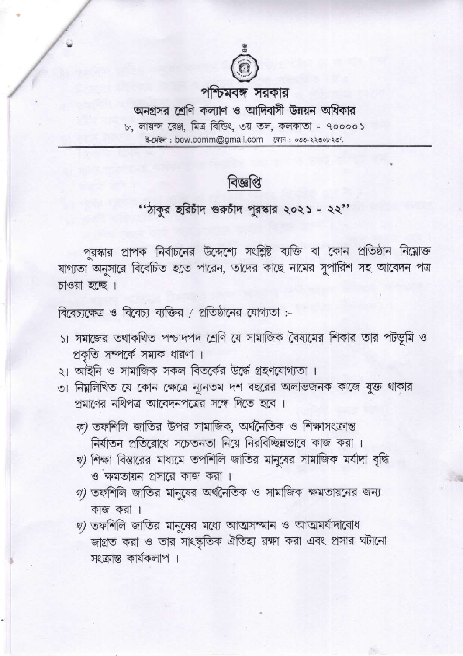

## পশ্চিমবঙ্গ সরকার

অনগ্রসর শ্রেণি কল্যাণ ও আদিবাসী উন্নয়ন অধিকার ৮, লায়ন্স রেঞ্জ, মিত্র বিন্ডিং, ৩য় তল, কলকাতা - ৭০০০০১ 

## বিজ্ঞপ্তি

## ''ঠাকুর হরিচাঁদ গুরুচাঁদ পুরস্কার ২০২১ - ২২''

পুরস্কার প্রাপক নির্বাচনের উদ্দেশ্যে সংশ্লিষ্ট ব্যক্তি বা কোন প্রতিষ্ঠান নিম্নোক্ত যাগ্যতা অনুসারে বিবেচিত হতে পারেন, তাদের কাছে নামের সুপারিশ সহ আবেদন পত্র চাওয়া হচ্ছে ।

বিবেচ্যক্ষেত্র ও বিবেচ্য ব্যক্তির / প্রতিষ্ঠানের যোগ্যতা :-

- ১। সমাজের তথাকথিত পশ্চাদপদ শ্রেণি যে সামাজিক বৈষ্যমের শিকার তার পটভূমি ও প্রকৃতি সম্পর্কে সম্যক ধারণা ।
- ২। আইনি ও সামাজিক সকল বিতর্কের উর্দ্ধে গ্রহণযোগ্যতা ।
- ৩। নিয়লিখিত যে কোন ক্ষেত্রে ন্যূনতম দশ বছরের অলাভজনক কাজে যুক্ত থাকার প্রমাণের নথিপত্র আবেদনপত্রের সঙ্গে দিতে হবে।
	- ক) তফশিলি জাতির উপর সামাজিক, অর্থনৈতিক ও শিক্ষাসংক্রান্ত নির্যাতন প্রতিরোধে সচেতনতা নিয়ে নিরবিচ্ছিন্নভাবে কাজ করা।
	- খ) শিক্ষা বিস্তারের মাধ্যমে তপশিলি জাতির মানুষের সামাজিক মর্যাদা বৃদ্ধি ও ক্ষমতায়ন প্রসারে কাজ করা।
	- $\eta$ ) তফশিলি জাতির মানুষের অর্থনৈতিক ও সামাজিক ক্ষমতায়নের জন্য কাজ করা ।
	- $\mathbf{z}$ ) তফশিলি জাতির মানুষের মধ্যে আত্মসম্মান ও আত্মমর্যাদাবোধ জাগ্রত করা ও তার সাংস্কৃতিক ঐতিহ্য রক্ষা করা এবং প্রসার ঘটানো সংক্রান্ত কার্যকলাপ ।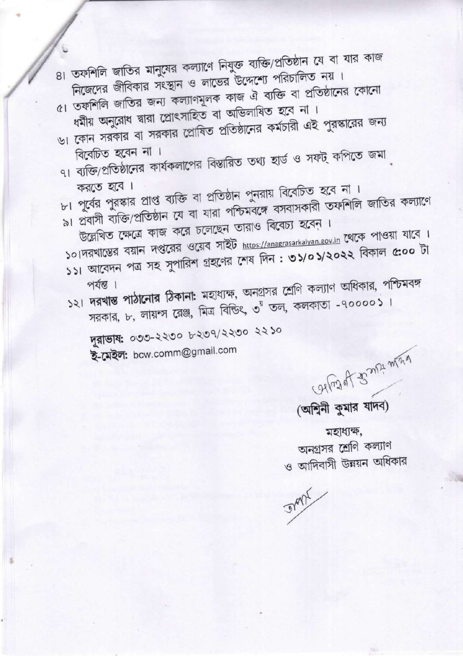**Sydle** 

মহাধ্যক্ষ, অনগ্রসর শ্রেণি কল্যাণ ও আদিবাসী উন্নয়ন অধিকার

(অশ্বিনী কুমার যাদব)

Carlozal to my mind

দুরাভাষ: ০৩৩-২২৩০ ৮২৩৭/২২৩০ ২২১০ ই-মেইল: bcw.comm@gmail.com

- ১২। দরখান্ত পাঠানোর ঠিকানা: মহাধ্যক্ষ, অনগ্রসর শ্রেণি কল্যাণ অধিকার, পশ্চিমবঙ্গ সরকার, ৮, লায়ন্স রেঞ্জ, মিত্র বিন্ডিৎ, ৩<sup>র</sup> তল, কলকাতা -৭০০০০১।
- উল্লেখিত ক্ষেত্রে কাজ করে চলেছেন তারাও বিবেচ্য হবেন। ১০।দরখাস্তের বয়ান দপ্তরের ওয়েব সাইট https://anagrasarkalyan.gov.in থেকে পাওয়া যাবে । ১১। আবেদন পত্র সহ সুপারিশ গ্রহণের শেষ দিন : ৩১/০১/২০২২ বিকাল ৫:০০ টা
- করতে হবে। ৮। পূর্বের পুরস্কার প্রাপ্ত ব্যক্তি বা প্রতিষ্ঠান পুনরায় বিবেচিত হবে না। ৯। প্রবাসী ব্যক্তি/প্রতিষ্ঠান যে বা যারা পশ্চিমবঙ্গে বসবাসকারী তফশিলি জাতির কল্যাণে
- বিবেচিত হবেন না। ৭। ব্যক্তি/প্রতিষ্ঠানের কার্যকলাপের বিস্তারিত তথ্য হার্ড ও সফট্ কপিতে জমা
- ধৰ্মীয় অনুরোধ দ্বারা প্রোৎসাহিত বা অভিলাষিত হবে না। ৬। কোন সরকার বা সরকার প্রোষিত প্রতিষ্ঠানের কর্মচারী এই পুরস্কারের জন্য
- ৪। তফশিলি জাতির মানুষের কল্যাণে নিযুক্ত ব্যক্তি/প্রতিষ্ঠান যে বা যার কাজ নিজেদের জীবিকার সংস্থান ও লাভের উদ্দেশ্যে পরিচালিত নয়। ৫। তফশিলি জাতির জন্য কল্যাণমূলক কাজ ঐ ব্যক্তি বা প্রতিষ্ঠানের কোনো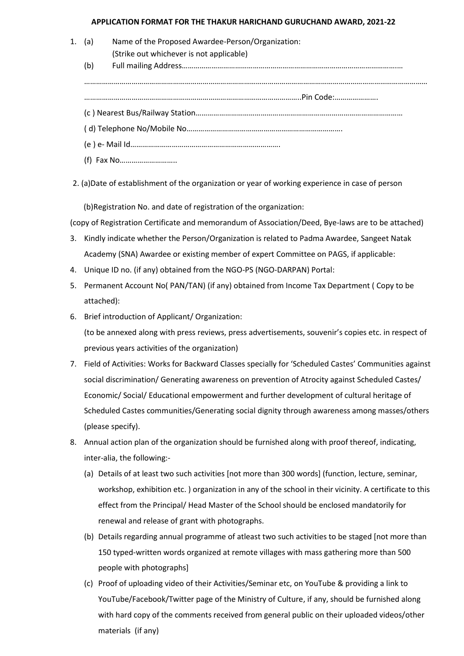## **APPLICATION FORMAT FOR THE THAKUR HARICHAND GURUCHAND AWARD, 2021-22**

- 1. (a) Name of the Proposed Awardee-Person/Organization: (Strike out whichever is not applicable) (b) Full mailing Address……………………………………………………………………………………………….… ………………………………………………………………………………………………………………………………………………………… ………………………………………………………………………………………………..Pin Code:…………………. (c ) Nearest Bus/Railway Station…………………………………………………………………………………………… ( d) Telephone No/Mobile No……………………………………………………………………. (e ) e- Mail Id………………………………………………………………….
	- (f) Fax No………………………..

2. (a)Date of establishment of the organization or year of working experience in case of person

(b)Registration No. and date of registration of the organization:

(copy of Registration Certificate and memorandum of Association/Deed, Bye-laws are to be attached)

- 3. Kindly indicate whether the Person/Organization is related to Padma Awardee, Sangeet Natak Academy (SNA) Awardee or existing member of expert Committee on PAGS, if applicable:
- 4. Unique ID no. (if any) obtained from the NGO-PS (NGO-DARPAN) Portal:
- 5. Permanent Account No( PAN/TAN) (if any) obtained from Income Tax Department ( Copy to be attached):
- 6. Brief introduction of Applicant/ Organization:

(to be annexed along with press reviews, press advertisements, souvenir's copies etc. in respect of previous years activities of the organization)

- 7. Field of Activities: Works for Backward Classes specially for 'Scheduled Castes' Communities against social discrimination/ Generating awareness on prevention of Atrocity against Scheduled Castes/ Economic/ Social/ Educational empowerment and further development of cultural heritage of Scheduled Castes communities/Generating social dignity through awareness among masses/others (please specify).
- 8. Annual action plan of the organization should be furnished along with proof thereof, indicating, inter-alia, the following:-
	- (a) Details of at least two such activities [not more than 300 words] (function, lecture, seminar, workshop, exhibition etc. ) organization in any of the school in their vicinity. A certificate to this effect from the Principal/ Head Master of the School should be enclosed mandatorily for renewal and release of grant with photographs.
	- (b) Details regarding annual programme of atleast two such activities to be staged [not more than 150 typed-written words organized at remote villages with mass gathering more than 500 people with photographs]
	- (c) Proof of uploading video of their Activities/Seminar etc, on YouTube & providing a link to YouTube/Facebook/Twitter page of the Ministry of Culture, if any, should be furnished along with hard copy of the comments received from general public on their uploaded videos/other materials (if any)